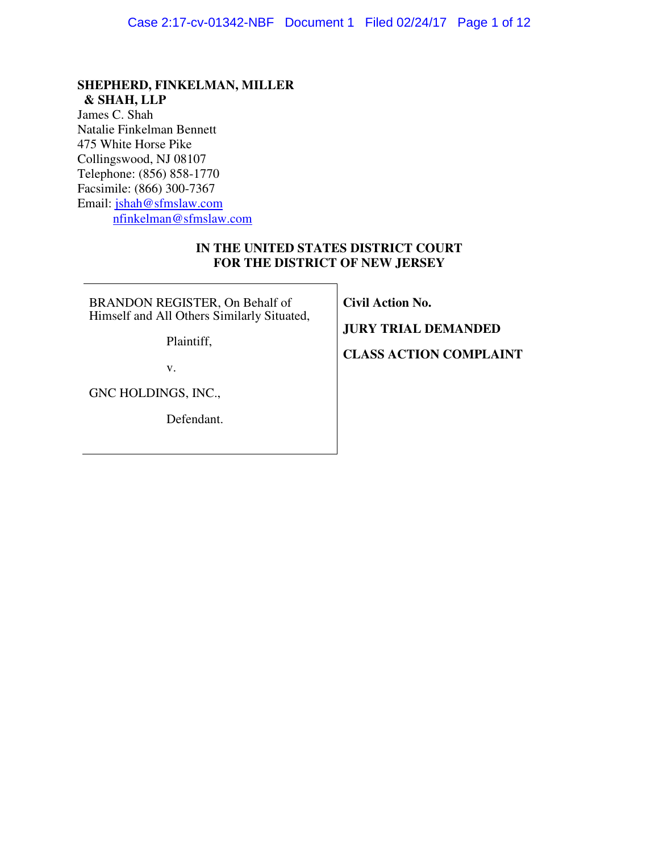# **SHEPHERD, FINKELMAN, MILLER & SHAH, LLP**

James C. Shah Natalie Finkelman Bennett 475 White Horse Pike Collingswood, NJ 08107 Telephone: (856) 858-1770 Facsimile: (866) 300-7367 Email: jshah@sfmslaw.com nfinkelman@sfmslaw.com

## **IN THE UNITED STATES DISTRICT COURT FOR THE DISTRICT OF NEW JERSEY**

BRANDON REGISTER, On Behalf of Himself and All Others Similarly Situated,

Plaintiff,

v.

GNC HOLDINGS, INC.,

Defendant.

**Civil Action No.** 

**JURY TRIAL DEMANDED** 

**CLASS ACTION COMPLAINT**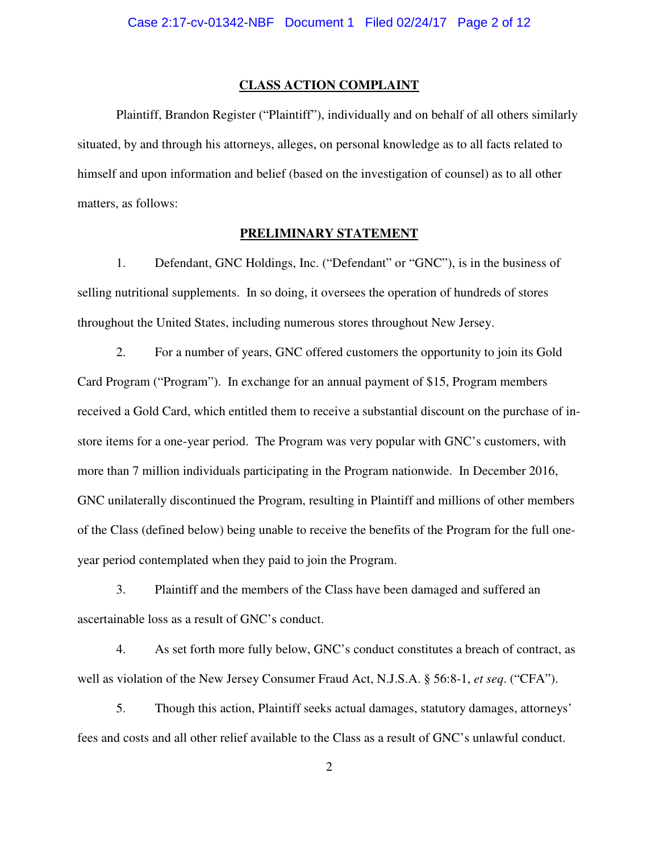#### **CLASS ACTION COMPLAINT**

 Plaintiff, Brandon Register ("Plaintiff"), individually and on behalf of all others similarly situated, by and through his attorneys, alleges, on personal knowledge as to all facts related to himself and upon information and belief (based on the investigation of counsel) as to all other matters, as follows:

#### **PRELIMINARY STATEMENT**

1. Defendant, GNC Holdings, Inc. ("Defendant" or "GNC"), is in the business of selling nutritional supplements. In so doing, it oversees the operation of hundreds of stores throughout the United States, including numerous stores throughout New Jersey.

2. For a number of years, GNC offered customers the opportunity to join its Gold Card Program ("Program"). In exchange for an annual payment of \$15, Program members received a Gold Card, which entitled them to receive a substantial discount on the purchase of instore items for a one-year period. The Program was very popular with GNC's customers, with more than 7 million individuals participating in the Program nationwide. In December 2016, GNC unilaterally discontinued the Program, resulting in Plaintiff and millions of other members of the Class (defined below) being unable to receive the benefits of the Program for the full oneyear period contemplated when they paid to join the Program.

3. Plaintiff and the members of the Class have been damaged and suffered an ascertainable loss as a result of GNC's conduct.

4. As set forth more fully below, GNC's conduct constitutes a breach of contract, as well as violation of the New Jersey Consumer Fraud Act, N.J.S.A. § 56:8-1, *et seq*. ("CFA").

5. Though this action, Plaintiff seeks actual damages, statutory damages, attorneys' fees and costs and all other relief available to the Class as a result of GNC's unlawful conduct.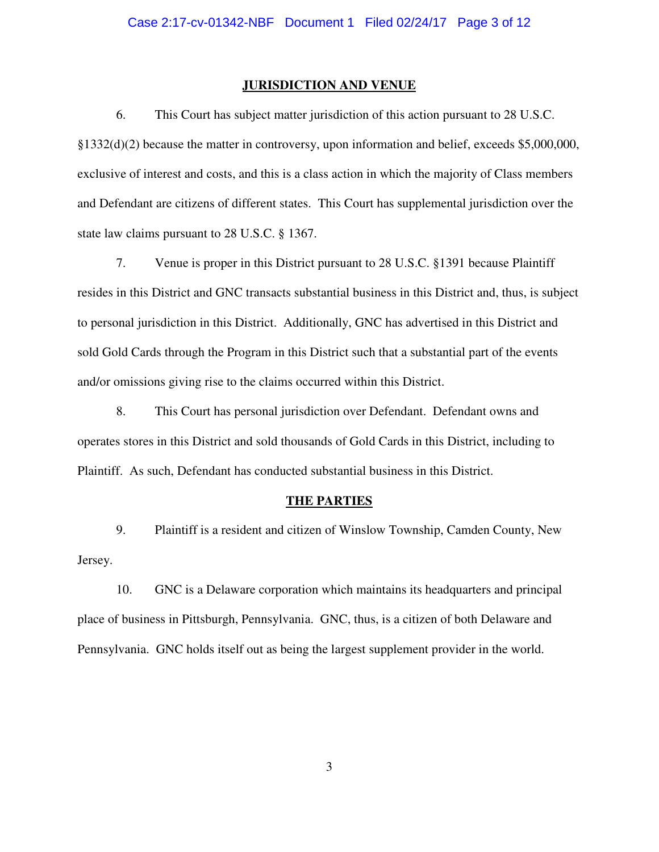#### **JURISDICTION AND VENUE**

6. This Court has subject matter jurisdiction of this action pursuant to 28 U.S.C. §1332(d)(2) because the matter in controversy, upon information and belief, exceeds \$5,000,000, exclusive of interest and costs, and this is a class action in which the majority of Class members and Defendant are citizens of different states. This Court has supplemental jurisdiction over the state law claims pursuant to 28 U.S.C. § 1367.

7. Venue is proper in this District pursuant to 28 U.S.C. §1391 because Plaintiff resides in this District and GNC transacts substantial business in this District and, thus, is subject to personal jurisdiction in this District. Additionally, GNC has advertised in this District and sold Gold Cards through the Program in this District such that a substantial part of the events and/or omissions giving rise to the claims occurred within this District.

8. This Court has personal jurisdiction over Defendant. Defendant owns and operates stores in this District and sold thousands of Gold Cards in this District, including to Plaintiff. As such, Defendant has conducted substantial business in this District.

#### **THE PARTIES**

9. Plaintiff is a resident and citizen of Winslow Township, Camden County, New Jersey.

10. GNC is a Delaware corporation which maintains its headquarters and principal place of business in Pittsburgh, Pennsylvania. GNC, thus, is a citizen of both Delaware and Pennsylvania. GNC holds itself out as being the largest supplement provider in the world.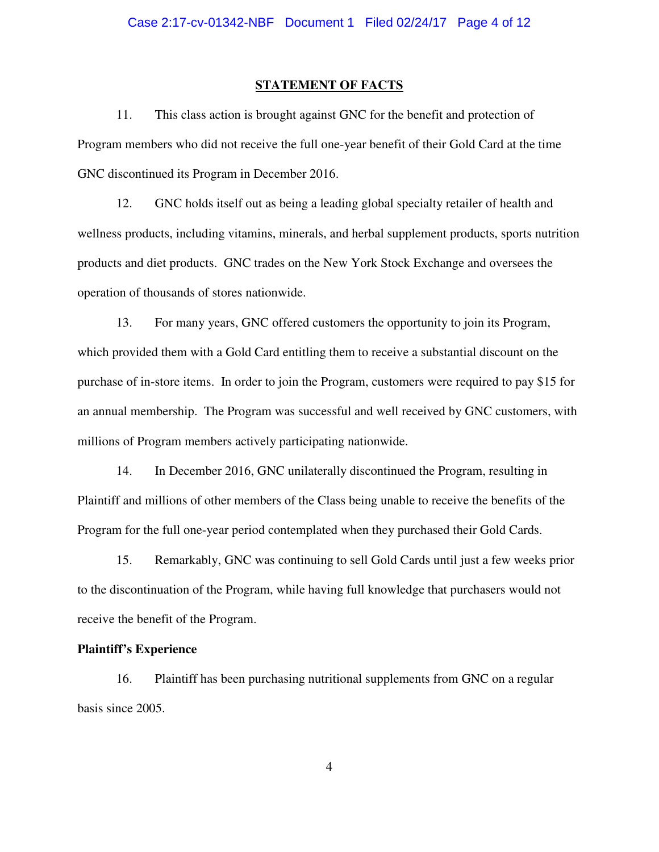#### **STATEMENT OF FACTS**

11. This class action is brought against GNC for the benefit and protection of Program members who did not receive the full one-year benefit of their Gold Card at the time GNC discontinued its Program in December 2016.

12. GNC holds itself out as being a leading global specialty retailer of health and wellness products, including vitamins, minerals, and herbal supplement products, sports nutrition products and diet products. GNC trades on the New York Stock Exchange and oversees the operation of thousands of stores nationwide.

13. For many years, GNC offered customers the opportunity to join its Program, which provided them with a Gold Card entitling them to receive a substantial discount on the purchase of in-store items. In order to join the Program, customers were required to pay \$15 for an annual membership. The Program was successful and well received by GNC customers, with millions of Program members actively participating nationwide.

14. In December 2016, GNC unilaterally discontinued the Program, resulting in Plaintiff and millions of other members of the Class being unable to receive the benefits of the Program for the full one-year period contemplated when they purchased their Gold Cards.

15. Remarkably, GNC was continuing to sell Gold Cards until just a few weeks prior to the discontinuation of the Program, while having full knowledge that purchasers would not receive the benefit of the Program.

#### **Plaintiff's Experience**

16. Plaintiff has been purchasing nutritional supplements from GNC on a regular basis since 2005.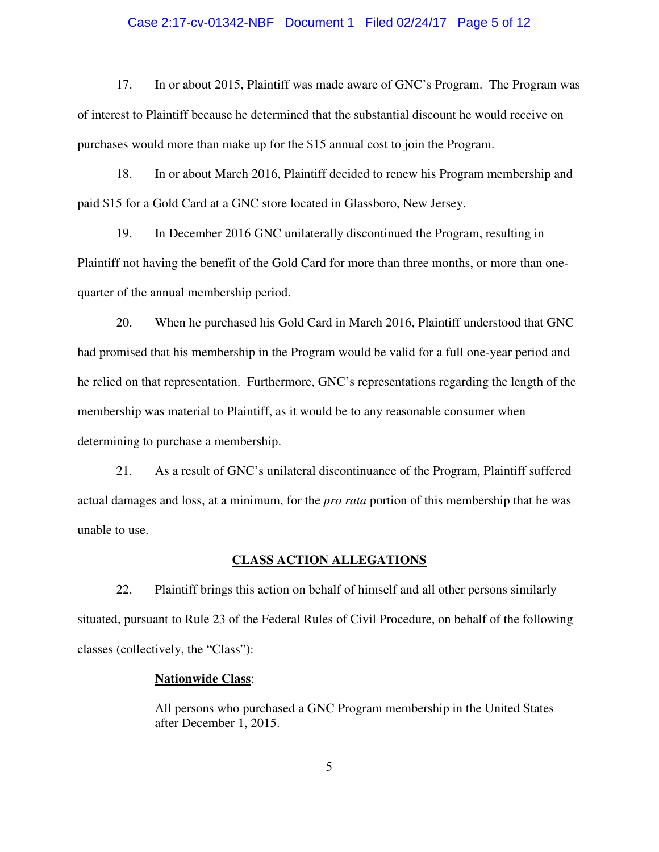#### Case 2:17-cv-01342-NBF Document 1 Filed 02/24/17 Page 5 of 12

17. In or about 2015, Plaintiff was made aware of GNC's Program. The Program was of interest to Plaintiff because he determined that the substantial discount he would receive on purchases would more than make up for the \$15 annual cost to join the Program.

18. In or about March 2016, Plaintiff decided to renew his Program membership and paid \$15 for a Gold Card at a GNC store located in Glassboro, New Jersey.

19. In December 2016 GNC unilaterally discontinued the Program, resulting in Plaintiff not having the benefit of the Gold Card for more than three months, or more than onequarter of the annual membership period.

20. When he purchased his Gold Card in March 2016, Plaintiff understood that GNC had promised that his membership in the Program would be valid for a full one-year period and he relied on that representation. Furthermore, GNC's representations regarding the length of the membership was material to Plaintiff, as it would be to any reasonable consumer when determining to purchase a membership.

21. As a result of GNC's unilateral discontinuance of the Program, Plaintiff suffered actual damages and loss, at a minimum, for the *pro rata* portion of this membership that he was unable to use.

#### **CLASS ACTION ALLEGATIONS**

22. Plaintiff brings this action on behalf of himself and all other persons similarly situated, pursuant to Rule 23 of the Federal Rules of Civil Procedure, on behalf of the following classes (collectively, the "Class"):

#### **Nationwide Class**:

All persons who purchased a GNC Program membership in the United States after December 1, 2015.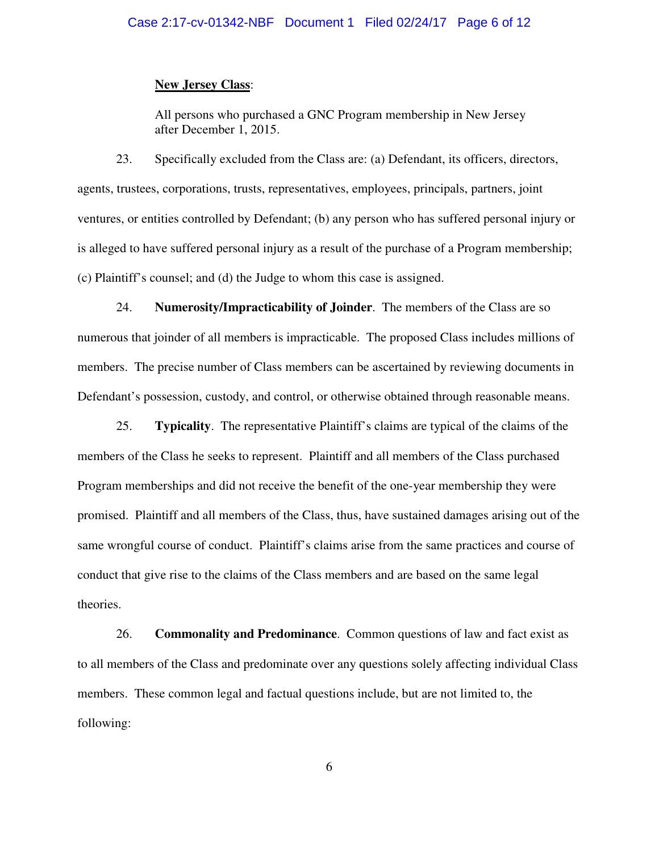#### **New Jersey Class**:

All persons who purchased a GNC Program membership in New Jersey after December 1, 2015.

23. Specifically excluded from the Class are: (a) Defendant, its officers, directors, agents, trustees, corporations, trusts, representatives, employees, principals, partners, joint ventures, or entities controlled by Defendant; (b) any person who has suffered personal injury or is alleged to have suffered personal injury as a result of the purchase of a Program membership; (c) Plaintiff's counsel; and (d) the Judge to whom this case is assigned.

24. **Numerosity/Impracticability of Joinder**. The members of the Class are so numerous that joinder of all members is impracticable. The proposed Class includes millions of members. The precise number of Class members can be ascertained by reviewing documents in Defendant's possession, custody, and control, or otherwise obtained through reasonable means.

25. **Typicality**. The representative Plaintiff's claims are typical of the claims of the members of the Class he seeks to represent. Plaintiff and all members of the Class purchased Program memberships and did not receive the benefit of the one-year membership they were promised. Plaintiff and all members of the Class, thus, have sustained damages arising out of the same wrongful course of conduct. Plaintiff's claims arise from the same practices and course of conduct that give rise to the claims of the Class members and are based on the same legal theories.

26. **Commonality and Predominance**. Common questions of law and fact exist as to all members of the Class and predominate over any questions solely affecting individual Class members. These common legal and factual questions include, but are not limited to, the following: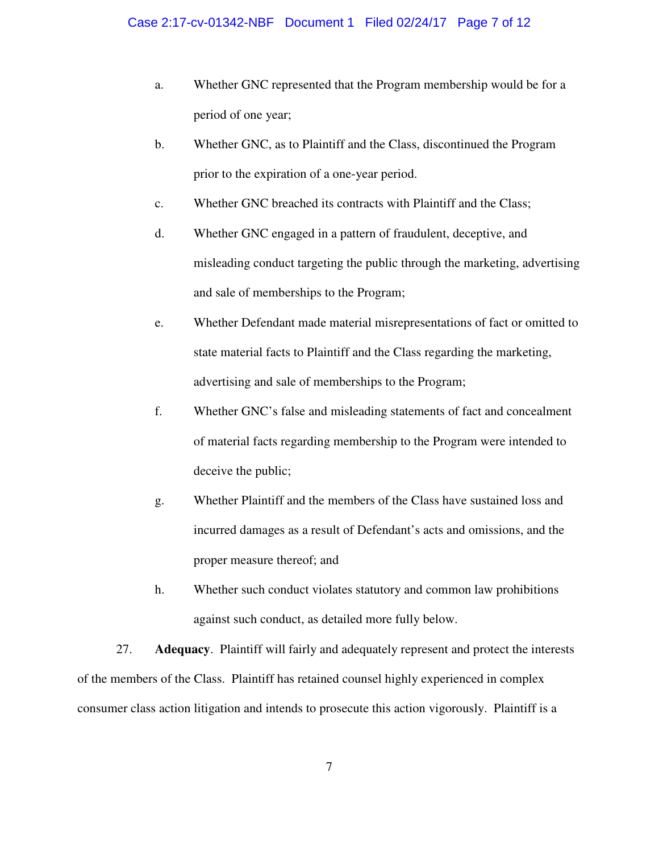- a. Whether GNC represented that the Program membership would be for a period of one year;
- b. Whether GNC, as to Plaintiff and the Class, discontinued the Program prior to the expiration of a one-year period.
- c. Whether GNC breached its contracts with Plaintiff and the Class;
- d. Whether GNC engaged in a pattern of fraudulent, deceptive, and misleading conduct targeting the public through the marketing, advertising and sale of memberships to the Program;
- e. Whether Defendant made material misrepresentations of fact or omitted to state material facts to Plaintiff and the Class regarding the marketing, advertising and sale of memberships to the Program;
- f. Whether GNC's false and misleading statements of fact and concealment of material facts regarding membership to the Program were intended to deceive the public;
- g. Whether Plaintiff and the members of the Class have sustained loss and incurred damages as a result of Defendant's acts and omissions, and the proper measure thereof; and
- h. Whether such conduct violates statutory and common law prohibitions against such conduct, as detailed more fully below.

27. **Adequacy**. Plaintiff will fairly and adequately represent and protect the interests of the members of the Class. Plaintiff has retained counsel highly experienced in complex consumer class action litigation and intends to prosecute this action vigorously. Plaintiff is a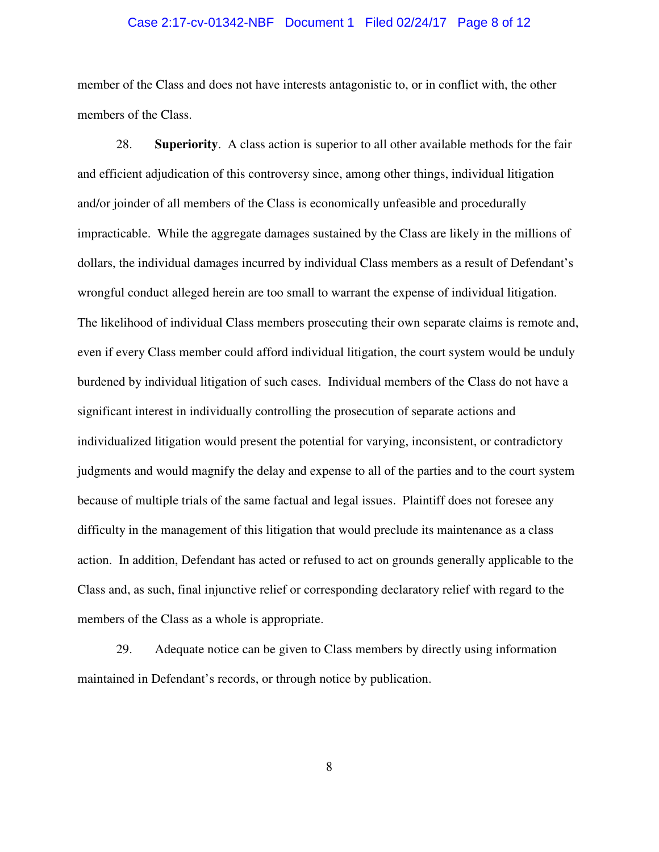#### Case 2:17-cv-01342-NBF Document 1 Filed 02/24/17 Page 8 of 12

member of the Class and does not have interests antagonistic to, or in conflict with, the other members of the Class.

28. **Superiority**. A class action is superior to all other available methods for the fair and efficient adjudication of this controversy since, among other things, individual litigation and/or joinder of all members of the Class is economically unfeasible and procedurally impracticable. While the aggregate damages sustained by the Class are likely in the millions of dollars, the individual damages incurred by individual Class members as a result of Defendant's wrongful conduct alleged herein are too small to warrant the expense of individual litigation. The likelihood of individual Class members prosecuting their own separate claims is remote and, even if every Class member could afford individual litigation, the court system would be unduly burdened by individual litigation of such cases. Individual members of the Class do not have a significant interest in individually controlling the prosecution of separate actions and individualized litigation would present the potential for varying, inconsistent, or contradictory judgments and would magnify the delay and expense to all of the parties and to the court system because of multiple trials of the same factual and legal issues. Plaintiff does not foresee any difficulty in the management of this litigation that would preclude its maintenance as a class action. In addition, Defendant has acted or refused to act on grounds generally applicable to the Class and, as such, final injunctive relief or corresponding declaratory relief with regard to the members of the Class as a whole is appropriate.

29. Adequate notice can be given to Class members by directly using information maintained in Defendant's records, or through notice by publication.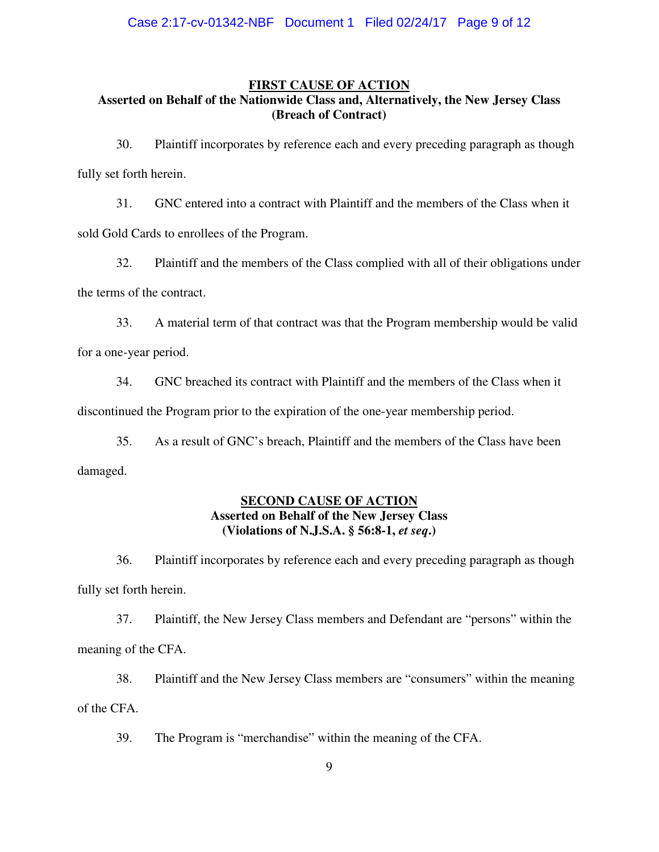#### **FIRST CAUSE OF ACTION**

# **Asserted on Behalf of the Nationwide Class and, Alternatively, the New Jersey Class (Breach of Contract)**

30. Plaintiff incorporates by reference each and every preceding paragraph as though fully set forth herein.

31. GNC entered into a contract with Plaintiff and the members of the Class when it sold Gold Cards to enrollees of the Program.

32. Plaintiff and the members of the Class complied with all of their obligations under the terms of the contract.

33. A material term of that contract was that the Program membership would be valid for a one-year period.

34. GNC breached its contract with Plaintiff and the members of the Class when it

discontinued the Program prior to the expiration of the one-year membership period.

35. As a result of GNC's breach, Plaintiff and the members of the Class have been damaged.

# **SECOND CAUSE OF ACTION Asserted on Behalf of the New Jersey Class (Violations of N.J.S.A. § 56:8-1,** *et seq***.)**

36. Plaintiff incorporates by reference each and every preceding paragraph as though fully set forth herein.

37. Plaintiff, the New Jersey Class members and Defendant are "persons" within the meaning of the CFA.

38. Plaintiff and the New Jersey Class members are "consumers" within the meaning of the CFA.

39. The Program is "merchandise" within the meaning of the CFA.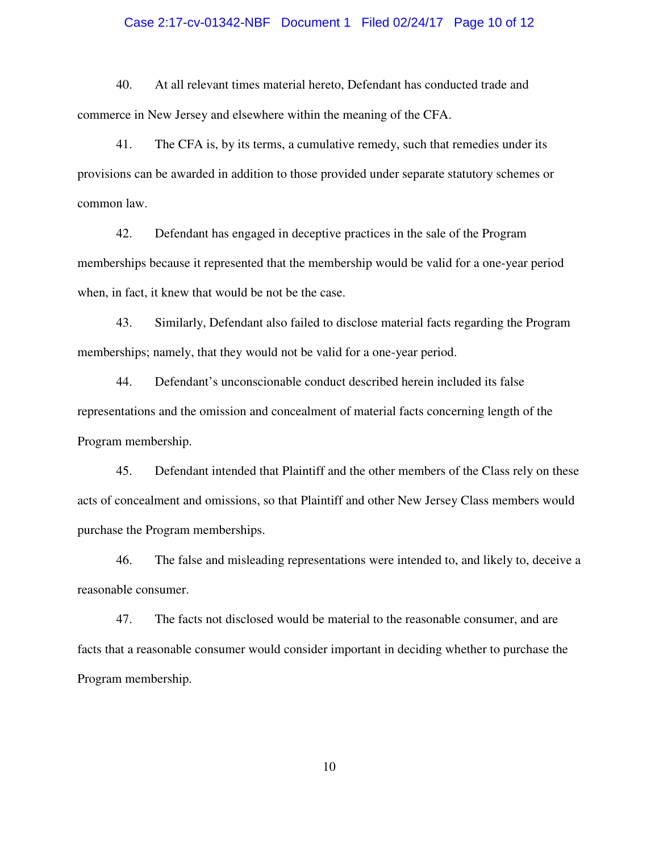#### Case 2:17-cv-01342-NBF Document 1 Filed 02/24/17 Page 10 of 12

40. At all relevant times material hereto, Defendant has conducted trade and commerce in New Jersey and elsewhere within the meaning of the CFA.

41. The CFA is, by its terms, a cumulative remedy, such that remedies under its provisions can be awarded in addition to those provided under separate statutory schemes or common law.

42. Defendant has engaged in deceptive practices in the sale of the Program memberships because it represented that the membership would be valid for a one-year period when, in fact, it knew that would be not be the case.

43. Similarly, Defendant also failed to disclose material facts regarding the Program memberships; namely, that they would not be valid for a one-year period.

44. Defendant's unconscionable conduct described herein included its false representations and the omission and concealment of material facts concerning length of the Program membership.

45. Defendant intended that Plaintiff and the other members of the Class rely on these acts of concealment and omissions, so that Plaintiff and other New Jersey Class members would purchase the Program memberships.

46. The false and misleading representations were intended to, and likely to, deceive a reasonable consumer.

47. The facts not disclosed would be material to the reasonable consumer, and are facts that a reasonable consumer would consider important in deciding whether to purchase the Program membership.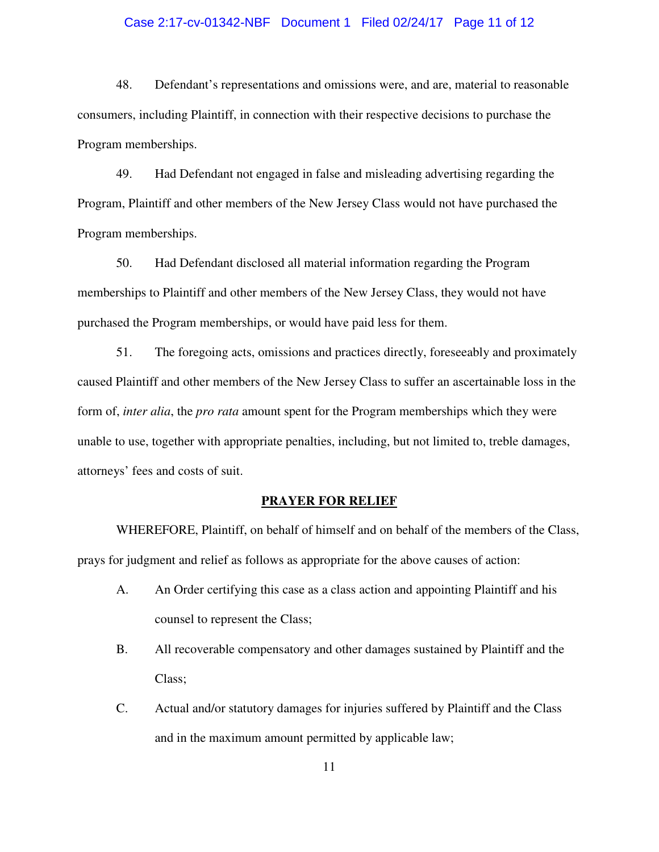#### Case 2:17-cv-01342-NBF Document 1 Filed 02/24/17 Page 11 of 12

48. Defendant's representations and omissions were, and are, material to reasonable consumers, including Plaintiff, in connection with their respective decisions to purchase the Program memberships.

49. Had Defendant not engaged in false and misleading advertising regarding the Program, Plaintiff and other members of the New Jersey Class would not have purchased the Program memberships.

50. Had Defendant disclosed all material information regarding the Program memberships to Plaintiff and other members of the New Jersey Class, they would not have purchased the Program memberships, or would have paid less for them.

51. The foregoing acts, omissions and practices directly, foreseeably and proximately caused Plaintiff and other members of the New Jersey Class to suffer an ascertainable loss in the form of, *inter alia*, the *pro rata* amount spent for the Program memberships which they were unable to use, together with appropriate penalties, including, but not limited to, treble damages, attorneys' fees and costs of suit.

#### **PRAYER FOR RELIEF**

 WHEREFORE, Plaintiff, on behalf of himself and on behalf of the members of the Class, prays for judgment and relief as follows as appropriate for the above causes of action:

- A. An Order certifying this case as a class action and appointing Plaintiff and his counsel to represent the Class;
- B. All recoverable compensatory and other damages sustained by Plaintiff and the Class;
- C. Actual and/or statutory damages for injuries suffered by Plaintiff and the Class and in the maximum amount permitted by applicable law;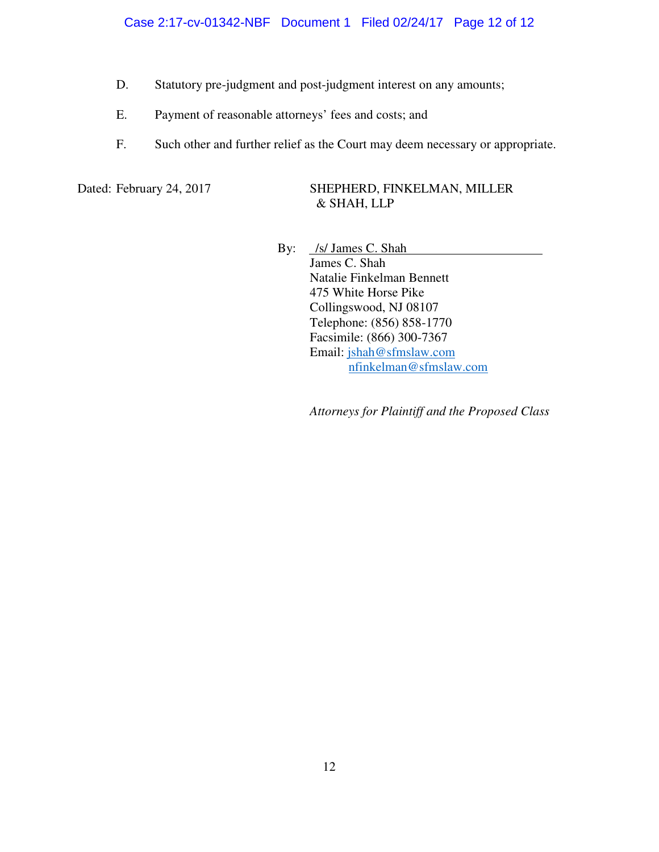Case 2:17-cv-01342-NBF Document 1 Filed 02/24/17 Page 12 of 12

- D. Statutory pre-judgment and post-judgment interest on any amounts;
- E. Payment of reasonable attorneys' fees and costs; and
- F. Such other and further relief as the Court may deem necessary or appropriate.

### Dated: February 24, 2017 SHEPHERD, FINKELMAN, MILLER & SHAH, LLP

By: /s/ James C. Shah James C. Shah Natalie Finkelman Bennett 475 White Horse Pike Collingswood, NJ 08107 Telephone: (856) 858-1770 Facsimile: (866) 300-7367 Email: jshah@sfmslaw.com nfinkelman@sfmslaw.com

*Attorneys for Plaintiff and the Proposed Class*